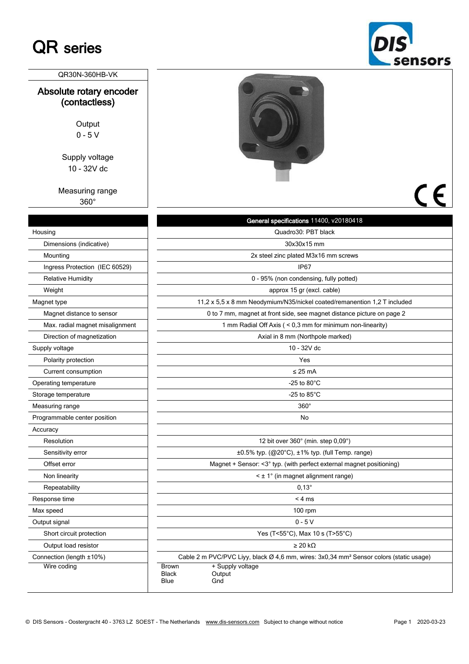## QR series

|                                          | JCI IJUI J                                                                                         |
|------------------------------------------|----------------------------------------------------------------------------------------------------|
| QR30N-360HB-VK                           |                                                                                                    |
| Absolute rotary encoder<br>(contactless) |                                                                                                    |
| Output                                   |                                                                                                    |
| $0 - 5V$                                 |                                                                                                    |
| Supply voltage                           |                                                                                                    |
| 10 - 32V dc                              |                                                                                                    |
| Measuring range<br>360°                  |                                                                                                    |
|                                          | General specifications 11400, v20180418                                                            |
| Housing                                  | Quadro30: PBT black                                                                                |
| Dimensions (indicative)                  | 30x30x15 mm                                                                                        |
| Mounting                                 | 2x steel zinc plated M3x16 mm screws                                                               |
| Ingress Protection (IEC 60529)           | IP <sub>67</sub>                                                                                   |
| <b>Relative Humidity</b>                 | 0 - 95% (non condensing, fully potted)                                                             |
| Weight                                   | approx 15 gr (excl. cable)                                                                         |
| Magnet type                              | 11,2 x 5,5 x 8 mm Neodymium/N35/nickel coated/remanention 1,2 T included                           |
| Magnet distance to sensor                | 0 to 7 mm, magnet at front side, see magnet distance picture on page 2                             |
| Max. radial magnet misalignment          | 1 mm Radial Off Axis ( < 0,3 mm for minimum non-linearity)                                         |
| Direction of magnetization               | Axial in 8 mm (Northpole marked)                                                                   |
| Supply voltage                           | 10 - 32V dc                                                                                        |
| Polarity protection                      | Yes                                                                                                |
| Current consumption                      | $\leq$ 25 mA                                                                                       |
| Operating temperature                    | -25 to $80^{\circ}$ C                                                                              |
| Storage temperature                      | -25 to $85^{\circ}$ C                                                                              |
| Measuring range                          | $360^\circ$                                                                                        |
| Programmable center position             | No                                                                                                 |
| Accuracy                                 |                                                                                                    |
| Resolution                               | 12 bit over 360° (min. step 0,09°)                                                                 |
| Sensitivity error                        | ±0.5% typ. (@20°C), ±1% typ. (full Temp. range)                                                    |
| Offset error                             | Magnet + Sensor: <3° typ. (with perfect external magnet positioning)                               |
| Non linearity                            | < ± 1° (in magnet alignment range)                                                                 |
| Repeatability                            | $0.13^\circ$                                                                                       |
| Response time                            | < 4 ms                                                                                             |
| Max speed                                | $100$ rpm                                                                                          |
| Output signal                            | $0 - 5V$                                                                                           |
| Short circuit protection                 | Yes (T<55°C), Max 10 s (T>55°C)                                                                    |
| Output load resistor                     | $\geq$ 20 kΩ                                                                                       |
| Connection (length ±10%)                 | Cable 2 m PVC/PVC Liyy, black Ø 4,6 mm, wires: 3x0,34 mm <sup>2</sup> Sensor colors (static usage) |
| Wire coding                              | + Supply voltage<br>Brown<br><b>Black</b><br>Output<br>Gnd<br>Blue                                 |